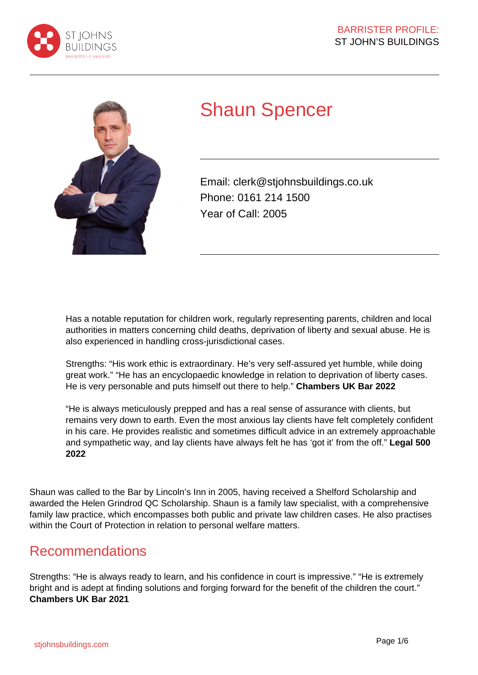



# Shaun Spencer

Email: clerk@stjohnsbuildings.co.uk Phone: 0161 214 1500 Year of Call: 2005

Has a notable reputation for children work, regularly representing parents, children and local authorities in matters concerning child deaths, deprivation of liberty and sexual abuse. He is also experienced in handling cross-jurisdictional cases.

Strengths: "His work ethic is extraordinary. He's very self-assured yet humble, while doing great work." "He has an encyclopaedic knowledge in relation to deprivation of liberty cases. He is very personable and puts himself out there to help." **Chambers UK Bar 2022**

"He is always meticulously prepped and has a real sense of assurance with clients, but remains very down to earth. Even the most anxious lay clients have felt completely confident in his care. He provides realistic and sometimes difficult advice in an extremely approachable and sympathetic way, and lay clients have always felt he has 'got it' from the off." **Legal 500 2022**

Shaun was called to the Bar by Lincoln's Inn in 2005, having received a Shelford Scholarship and awarded the Helen Grindrod QC Scholarship. Shaun is a family law specialist, with a comprehensive family law practice, which encompasses both public and private law children cases. He also practises within the Court of Protection in relation to personal welfare matters.

### Recommendations

Strengths: "He is always ready to learn, and his confidence in court is impressive." "He is extremely bright and is adept at finding solutions and forging forward for the benefit of the children the court." **Chambers UK Bar 2021**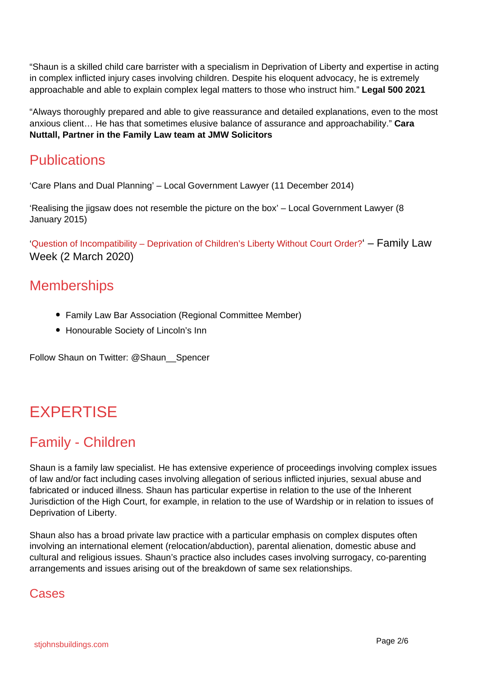"Shaun is a skilled child care barrister with a specialism in Deprivation of Liberty and expertise in acting in complex inflicted injury cases involving children. Despite his eloquent advocacy, he is extremely approachable and able to explain complex legal matters to those who instruct him." **Legal 500 2021**

"Always thoroughly prepared and able to give reassurance and detailed explanations, even to the most anxious client… He has that sometimes elusive balance of assurance and approachability." **Cara Nuttall, Partner in the Family Law team at JMW Solicitors**

### **Publications**

'Care Plans and Dual Planning' – Local Government Lawyer (11 December 2014)

'Realising the jigsaw does not resemble the picture on the box' – Local Government Lawyer (8 January 2015)

'Question of Incompatibility – Deprivation of Children's Liberty Without Court Order?' – Family Law Week (2 March 2020)

### **Memberships**

- Family Law Bar Association (Regional Committee Member)
- Honourable Society of Lincoln's Inn

Follow Shaun on Twitter: @Shaun\_\_Spencer

## EXPERTISE

### Family - Children

Shaun is a family law specialist. He has extensive experience of proceedings involving complex issues of law and/or fact including cases involving allegation of serious inflicted injuries, sexual abuse and fabricated or induced illness. Shaun has particular expertise in relation to the use of the Inherent Jurisdiction of the High Court, for example, in relation to the use of Wardship or in relation to issues of Deprivation of Liberty.

Shaun also has a broad private law practice with a particular emphasis on complex disputes often involving an international element (relocation/abduction), parental alienation, domestic abuse and cultural and religious issues. Shaun's practice also includes cases involving surrogacy, co-parenting arrangements and issues arising out of the breakdown of same sex relationships.

### **Cases**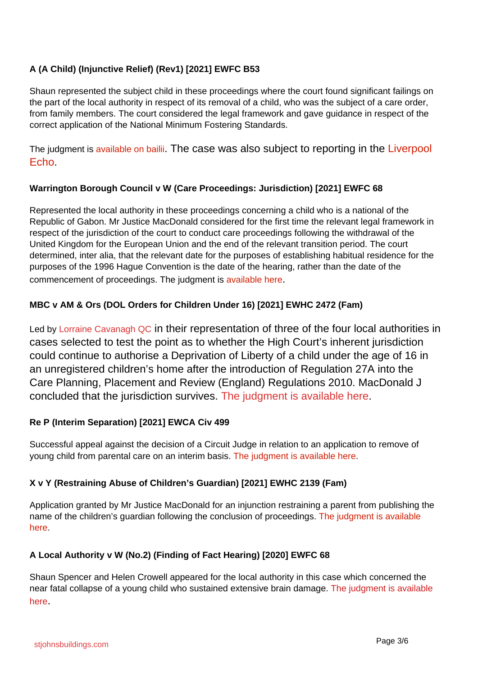#### **A (A Child) (Injunctive Relief) (Rev1) [2021] EWFC B53**

Shaun represented the subject child in these proceedings where the court found significant failings on the part of the local authority in respect of its removal of a child, who was the subject of a care order, from family members. The court considered the legal framework and gave guidance in respect of the correct application of the National Minimum Fostering Standards.

The judgment is available on bailii. The case was also subject to reporting in the Liverpool Echo.

#### **Warrington Borough Council v W (Care Proceedings: Jurisdiction) [2021] EWFC 68**

Represented the local authority in these proceedings concerning a child who is a national of the Republic of Gabon. Mr Justice MacDonald considered for the first time the relevant legal framework in respect of the jurisdiction of the court to conduct care proceedings following the withdrawal of the United Kingdom for the European Union and the end of the relevant transition period. The court determined, inter alia, that the relevant date for the purposes of establishing habitual residence for the purposes of the 1996 Hague Convention is the date of the hearing, rather than the date of the commencement of proceedings. The judgment is available here.

#### **MBC v AM & Ors (DOL Orders for Children Under 16) [2021] EWHC 2472 (Fam)**

Led by Lorraine Cavanagh QC in their representation of three of the four local authorities in cases selected to test the point as to whether the High Court's inherent jurisdiction could continue to authorise a Deprivation of Liberty of a child under the age of 16 in an unregistered children's home after the introduction of Regulation 27A into the Care Planning, Placement and Review (England) Regulations 2010. MacDonald J concluded that the jurisdiction survives. The judgment is available here.

#### **Re P (Interim Separation) [2021] EWCA Civ 499**

Successful appeal against the decision of a Circuit Judge in relation to an application to remove of young child from parental care on an interim basis. The judgment is available here.

#### **X v Y (Restraining Abuse of Children's Guardian) [2021] EWHC 2139 (Fam)**

Application granted by Mr Justice MacDonald for an injunction restraining a parent from publishing the name of the children's guardian following the conclusion of proceedings. The judgment is available here.

#### **A Local Authority v W (No.2) (Finding of Fact Hearing) [2020] EWFC 68**

Shaun Spencer and Helen Crowell appeared for the local authority in this case which concerned the near fatal collapse of a young child who sustained extensive brain damage. The judgment is available here.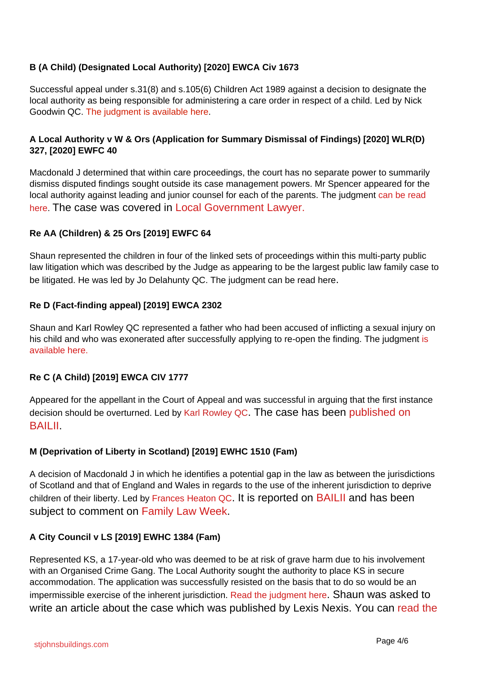#### **B (A Child) (Designated Local Authority) [2020] EWCA Civ 1673**

Successful appeal under s.31(8) and s.105(6) Children Act 1989 against a decision to designate the local authority as being responsible for administering a care order in respect of a child. Led by Nick Goodwin QC. The judgment is available here.

#### **A Local Authority v W & Ors (Application for Summary Dismissal of Findings) [2020] WLR(D) 327, [2020] EWFC 40**

Macdonald J determined that within care proceedings, the court has no separate power to summarily dismiss disputed findings sought outside its case management powers. Mr Spencer appeared for the local authority against leading and junior counsel for each of the parents. The judgment can be read here. The case was covered in Local Government Lawyer.

#### **Re AA (Children) & 25 Ors [2019] EWFC 64**

Shaun represented the children in four of the linked sets of proceedings within this multi-party public law litigation which was described by the Judge as appearing to be the largest public law family case to be litigated. He was led by Jo Delahunty QC. The judgment can be read here.

#### **Re D (Fact-finding appeal) [2019] EWCA 2302**

Shaun and Karl Rowley QC represented a father who had been accused of inflicting a sexual injury on his child and who was exonerated after successfully applying to re-open the finding. The judgment is available here.

#### **Re C (A Child) [2019] EWCA CIV 1777**

Appeared for the appellant in the Court of Appeal and was successful in arguing that the first instance decision should be overturned. Led by Karl Rowley QC. The case has been published on BAILII.

#### **M (Deprivation of Liberty in Scotland) [2019] EWHC 1510 (Fam)**

A decision of Macdonald J in which he identifies a potential gap in the law as between the jurisdictions of Scotland and that of England and Wales in regards to the use of the inherent jurisdiction to deprive children of their liberty. Led by Frances Heaton QC. It is reported on **BAILII** and has been subject to comment on Family Law Week.

#### **A City Council v LS [2019] EWHC 1384 (Fam)**

Represented KS, a 17-year-old who was deemed to be at risk of grave harm due to his involvement with an Organised Crime Gang. The Local Authority sought the authority to place KS in secure accommodation. The application was successfully resisted on the basis that to do so would be an impermissible exercise of the inherent jurisdiction. Read the judgment here. Shaun was asked to write an article about the case which was published by Lexis Nexis. You can read the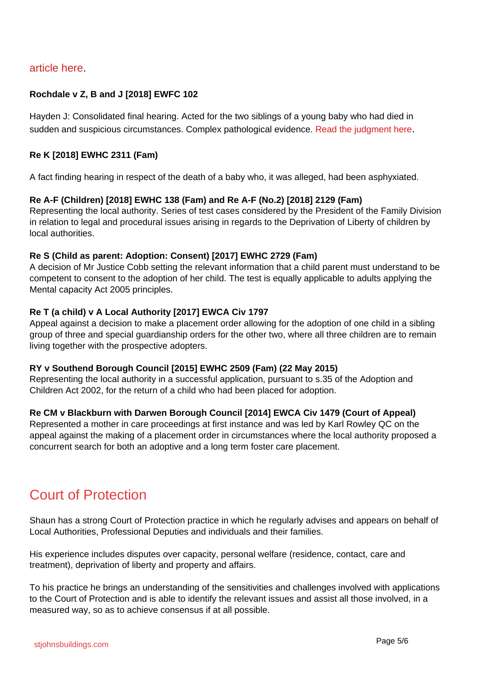#### article here.

#### **Rochdale v Z, B and J [2018] EWFC 102**

Hayden J: Consolidated final hearing. Acted for the two siblings of a young baby who had died in sudden and suspicious circumstances. Complex pathological evidence. Read the judgment here.

#### **Re K [2018] EWHC 2311 (Fam)**

A fact finding hearing in respect of the death of a baby who, it was alleged, had been asphyxiated.

#### **Re A-F (Children) [2018] EWHC 138 (Fam) and Re A-F (No.2) [2018] 2129 (Fam)**

Representing the local authority. Series of test cases considered by the President of the Family Division in relation to legal and procedural issues arising in regards to the Deprivation of Liberty of children by local authorities.

#### **Re S (Child as parent: Adoption: Consent) [2017] EWHC 2729 (Fam)**

A decision of Mr Justice Cobb setting the relevant information that a child parent must understand to be competent to consent to the adoption of her child. The test is equally applicable to adults applying the Mental capacity Act 2005 principles.

#### **Re T (a child) v A Local Authority [2017] EWCA Civ 1797**

Appeal against a decision to make a placement order allowing for the adoption of one child in a sibling group of three and special guardianship orders for the other two, where all three children are to remain living together with the prospective adopters.

#### **RY v Southend Borough Council [2015] EWHC 2509 (Fam) (22 May 2015)**

Representing the local authority in a successful application, pursuant to s.35 of the Adoption and Children Act 2002, for the return of a child who had been placed for adoption.

#### **Re CM v Blackburn with Darwen Borough Council [2014] EWCA Civ 1479 (Court of Appeal)**

Represented a mother in care proceedings at first instance and was led by Karl Rowley QC on the appeal against the making of a placement order in circumstances where the local authority proposed a concurrent search for both an adoptive and a long term foster care placement.

### Court of Protection

Shaun has a strong Court of Protection practice in which he regularly advises and appears on behalf of Local Authorities, Professional Deputies and individuals and their families.

His experience includes disputes over capacity, personal welfare (residence, contact, care and treatment), deprivation of liberty and property and affairs.

To his practice he brings an understanding of the sensitivities and challenges involved with applications to the Court of Protection and is able to identify the relevant issues and assist all those involved, in a measured way, so as to achieve consensus if at all possible.